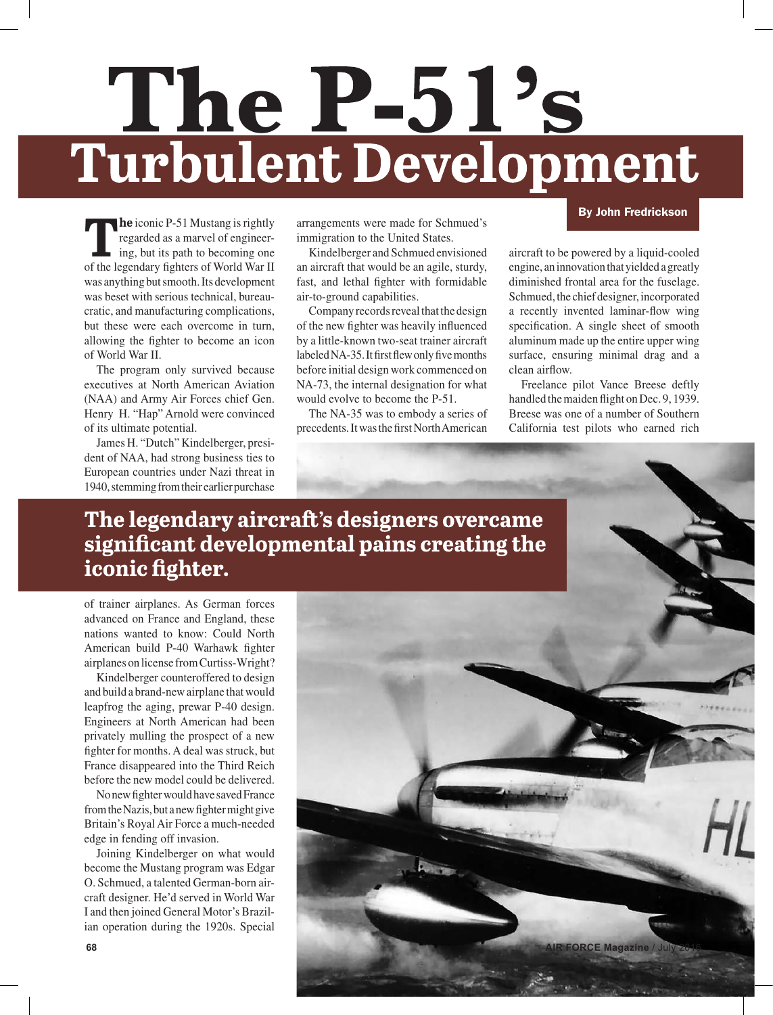# The P-51's<br>Turbulent Development

**The** iconic P-51 Mustang is rightly regarded as a marvel of engineering, but its path to becoming one of the legendary fighters of World War II was anything but smooth. Its development was beset with serious technical, bureaucratic, and manufacturing complications, but these were each overcome in turn, allowing the fighter to become an icon of World War II.

The program only survived because executives at North American Aviation (NAA) and Army Air Forces chief Gen. Henry H. "Hap" Arnold were convinced of its ultimate potential.

James H. "Dutch" Kindelberger, president of NAA, had strong business ties to European countries under Nazi threat in 1940, stemming from their earlier purchase

arrangements were made for Schmued's immigration to the United States.

Kindelberger and Schmued envisioned an aircraft that would be an agile, sturdy, fast, and lethal fighter with formidable air-to-ground capabilities.

Company records reveal that the design of the new fighter was heavily influenced by a little-known two-seat trainer aircraft labeled NA-35. It first flew only five months before initial design work commenced on NA-73, the internal designation for what would evolve to become the P-51.

The NA-35 was to embody a series of precedents. It was the first North American

# By John Fredrickson

aircraft to be powered by a liquid-cooled engine, an innovation that yielded a greatly diminished frontal area for the fuselage. Schmued, the chief designer, incorporated a recently invented laminar-flow wing specification. A single sheet of smooth aluminum made up the entire upper wing surface, ensuring minimal drag and a clean airflow.

Freelance pilot Vance Breese deftly handled the maiden flight on Dec. 9, 1939. Breese was one of a number of Southern California test pilots who earned rich

# The legendary aircraft's designers overcame significant developmental pains creating the iconic fighter.

of trainer airplanes. As German forces advanced on France and England, these nations wanted to know: Could North American build P-40 Warhawk fighter airplanes on license from Curtiss-Wright?

Kindelberger counteroffered to design and build a brand-new airplane that would leapfrog the aging, prewar P-40 design. Engineers at North American had been privately mulling the prospect of a new fighter for months. A deal was struck, but France disappeared into the Third Reich before the new model could be delivered.

No new fighter would have saved France from the Nazis, but a new fighter might give Britain's Royal Air Force a much-needed edge in fending off invasion.

Joining Kindelberger on what would become the Mustang program was Edgar O. Schmued, a talented German-born aircraft designer. He'd served in World War I and then joined General Motor's Brazilian operation during the 1920s. Special

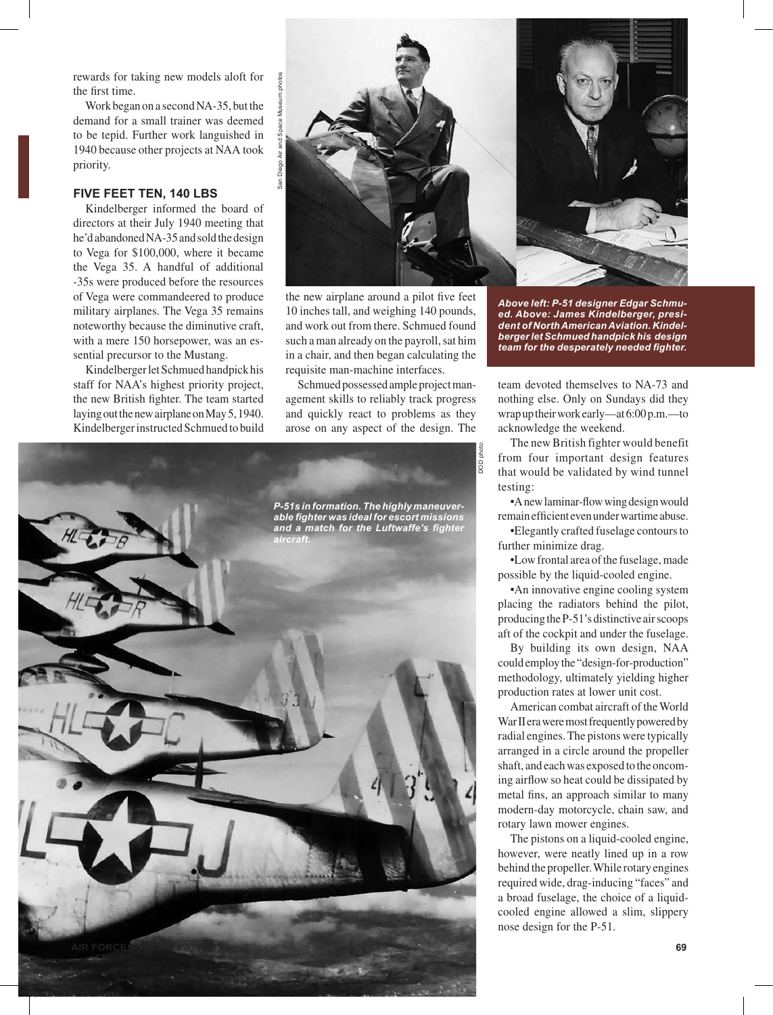rewards for taking new models aloft for the first time.

Work began on a second NA-35, but the demand for a small trainer was deemed to be tepid. Further work languished in 1940 because other projects at NAA took priority.

### **FIVE FEET TEN, 140 LBS**

Kindelberger informed the board of directors at their July 1940 meeting that he'd abandoned NA-35 and sold the design to Vega for \$100,000, where it became the Vega 35. A handful of additional -35s were produced before the resources of Vega were commandeered to produce military airplanes. The Vega 35 remains noteworthy because the diminutive craft, with a mere 150 horsepower, was an essential precursor to the Mustang.

Kindelberger let Schmued handpick his staff for NAA's highest priority project, the new British fighter. The team started laying out the new airplane on May 5, 1940. Kindelberger instructed Schmued to build



the new airplane around a pilot five feet 10 inches tall, and weighing 140 pounds, and work out from there. Schmued found such a man already on the payroll, sat him in a chair, and then began calculating the requisite man-machine interfaces.

Schmued possessed ample project management skills to reliably track progress and quickly react to problems as they arose on any aspect of the design. The



*Above left: P-51 designer Edgar Schmued. Above: James Kindelberger, president of North American Aviation. Kindelberger let Schmued handpick his design team for the desperately needed fighter.* 

team devoted themselves to NA-73 and nothing else. Only on Sundays did they wrap up their work early—at 6:00 p.m.—to acknowledge the weekend.

The new British fighter would benefit from four important design features that would be validated by wind tunnel testing:

•A new laminar-flow wing design would remain efficient even under wartime abuse.

•Elegantly crafted fuselage contours to further minimize drag.

•Low frontal area of the fuselage, made possible by the liquid-cooled engine.

•An innovative engine cooling system placing the radiators behind the pilot, producing the P-51's distinctive air scoops aft of the cockpit and under the fuselage.

By building its own design, NAA could employ the "design-for-production" methodology, ultimately yielding higher production rates at lower unit cost.

American combat aircraft of the World War II era were most frequently powered by radial engines. The pistons were typically arranged in a circle around the propeller shaft, and each was exposed to the oncoming airflow so heat could be dissipated by metal fins, an approach similar to many modern-day motorcycle, chain saw, and rotary lawn mower engines.

The pistons on a liquid-cooled engine, however, were neatly lined up in a row behind the propeller. While rotary engines required wide, drag-inducing "faces" and a broad fuselage, the choice of a liquidcooled engine allowed a slim, slippery nose design for the P-51.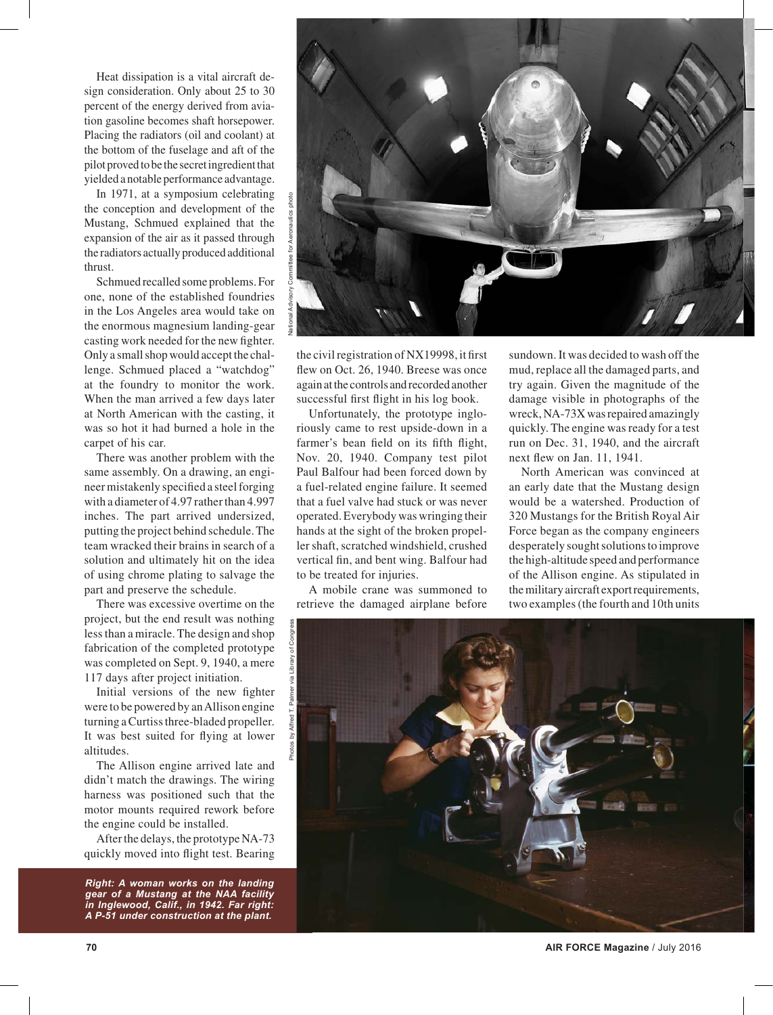Heat dissipation is a vital aircraft design consideration. Only about 25 to 30 percent of the energy derived from aviation gasoline becomes shaft horsepower. Placing the radiators (oil and coolant) at the bottom of the fuselage and aft of the pilot proved to be the secret ingredient that yielded a notable performance advantage.

In 1971, at a symposium celebrating the conception and development of the Mustang, Schmued explained that the expansion of the air as it passed through the radiators actually produced additional thrust.

Schmued recalled some problems. For one, none of the established foundries in the Los Angeles area would take on the enormous magnesium landing-gear casting work needed for the new fighter. Only a small shop would accept the challenge. Schmued placed a "watchdog" at the foundry to monitor the work. When the man arrived a few days later at North American with the casting, it was so hot it had burned a hole in the carpet of his car.

There was another problem with the same assembly. On a drawing, an engineer mistakenly specified a steel forging with a diameter of 4.97 rather than 4.997 inches. The part arrived undersized, putting the project behind schedule. The team wracked their brains in search of a solution and ultimately hit on the idea of using chrome plating to salvage the part and preserve the schedule.

There was excessive overtime on the project, but the end result was nothing less than a miracle. The design and shop fabrication of the completed prototype was completed on Sept. 9, 1940, a mere 117 days after project initiation.

Initial versions of the new fighter were to be powered by an Allison engine turning a Curtiss three-bladed propeller. It was best suited for flying at lower altitudes.

The Allison engine arrived late and didn't match the drawings. The wiring harness was positioned such that the motor mounts required rework before the engine could be installed.

After the delays, the prototype NA-73 quickly moved into flight test. Bearing

*Right: A woman works on the landing gear of a Mustang at the NAA facility in Inglewood, Calif., in 1942. Far right: A P-51 under construction at the plant.*



the civil registration of NX19998, it first flew on Oct. 26, 1940. Breese was once again at the controls and recorded another successful first flight in his log book.

Unfortunately, the prototype ingloriously came to rest upside-down in a farmer's bean field on its fifth flight, Nov. 20, 1940. Company test pilot Paul Balfour had been forced down by a fuel-related engine failure. It seemed that a fuel valve had stuck or was never operated. Everybody was wringing their hands at the sight of the broken propeller shaft, scratched windshield, crushed vertical fin, and bent wing. Balfour had to be treated for injuries.

A mobile crane was summoned to retrieve the damaged airplane before

sundown. It was decided to wash off the mud, replace all the damaged parts, and try again. Given the magnitude of the damage visible in photographs of the wreck, NA-73X was repaired amazingly quickly. The engine was ready for a test run on Dec. 31, 1940, and the aircraft next flew on Jan. 11, 1941.

North American was convinced at an early date that the Mustang design would be a watershed. Production of 320 Mustangs for the British Royal Air Force began as the company engineers desperately sought solutions to improve the high-altitude speed and performance of the Allison engine. As stipulated in the military aircraft export requirements, two examples (the fourth and 10th units

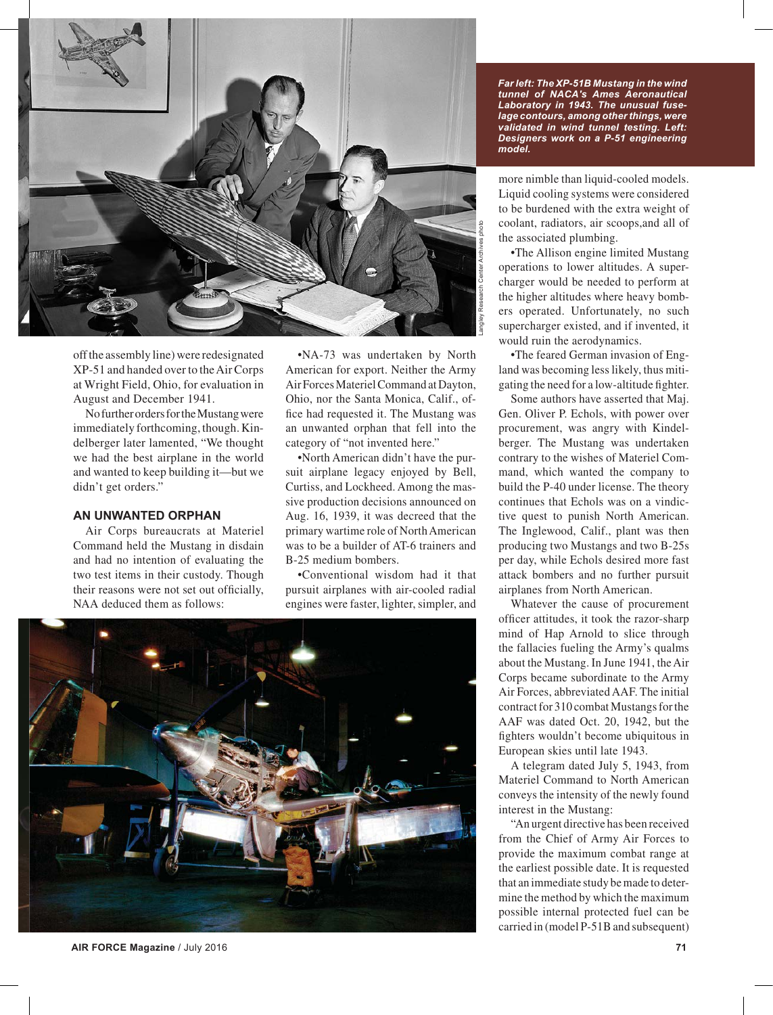

off the assembly line) were redesignated XP-51 and handed over to the Air Corps at Wright Field, Ohio, for evaluation in August and December 1941.

No further orders for the Mustang were immediately forthcoming, though. Kindelberger later lamented, "We thought we had the best airplane in the world and wanted to keep building it—but we didn't get orders."

# **AN UNWANTED ORPHAN**

Air Corps bureaucrats at Materiel Command held the Mustang in disdain and had no intention of evaluating the two test items in their custody. Though their reasons were not set out officially, NAA deduced them as follows:

•NA-73 was undertaken by North American for export. Neither the Army Air Forces Materiel Command at Dayton, Ohio, nor the Santa Monica, Calif., office had requested it. The Mustang was an unwanted orphan that fell into the category of "not invented here."

•North American didn't have the pursuit airplane legacy enjoyed by Bell, Curtiss, and Lockheed. Among the massive production decisions announced on Aug. 16, 1939, it was decreed that the primary wartime role of North American was to be a builder of AT-6 trainers and B-25 medium bombers.

•Conventional wisdom had it that pursuit airplanes with air-cooled radial engines were faster, lighter, simpler, and



**AIR FORCE Magazine** / July 2016 **71**

*Far left: The XP-51B Mustang in the wind tunnel of NACA's Ames Aeronautical Laboratory in 1943. The unusual fuselage contours, among other things, were validated in wind tunnel testing. Left: Designers work on a P-51 engineering model.* 

more nimble than liquid-cooled models. Liquid cooling systems were considered to be burdened with the extra weight of coolant, radiators, air scoops,and all of the associated plumbing.

•The Allison engine limited Mustang operations to lower altitudes. A supercharger would be needed to perform at the higher altitudes where heavy bombers operated. Unfortunately, no such supercharger existed, and if invented, it would ruin the aerodynamics.

•The feared German invasion of England was becoming less likely, thus mitigating the need for a low-altitude fighter.

Some authors have asserted that Maj. Gen. Oliver P. Echols, with power over procurement, was angry with Kindelberger. The Mustang was undertaken contrary to the wishes of Materiel Command, which wanted the company to build the P-40 under license. The theory continues that Echols was on a vindictive quest to punish North American. The Inglewood, Calif., plant was then producing two Mustangs and two B-25s per day, while Echols desired more fast attack bombers and no further pursuit airplanes from North American.

Whatever the cause of procurement officer attitudes, it took the razor-sharp mind of Hap Arnold to slice through the fallacies fueling the Army's qualms about the Mustang. In June 1941, the Air Corps became subordinate to the Army Air Forces, abbreviated AAF. The initial contract for 310 combat Mustangs for the AAF was dated Oct. 20, 1942, but the fighters wouldn't become ubiquitous in European skies until late 1943.

A telegram dated July 5, 1943, from Materiel Command to North American conveys the intensity of the newly found interest in the Mustang:

"An urgent directive has been received from the Chief of Army Air Forces to provide the maximum combat range at the earliest possible date. It is requested that an immediate study be made to determine the method by which the maximum possible internal protected fuel can be carried in (model P-51B and subsequent)